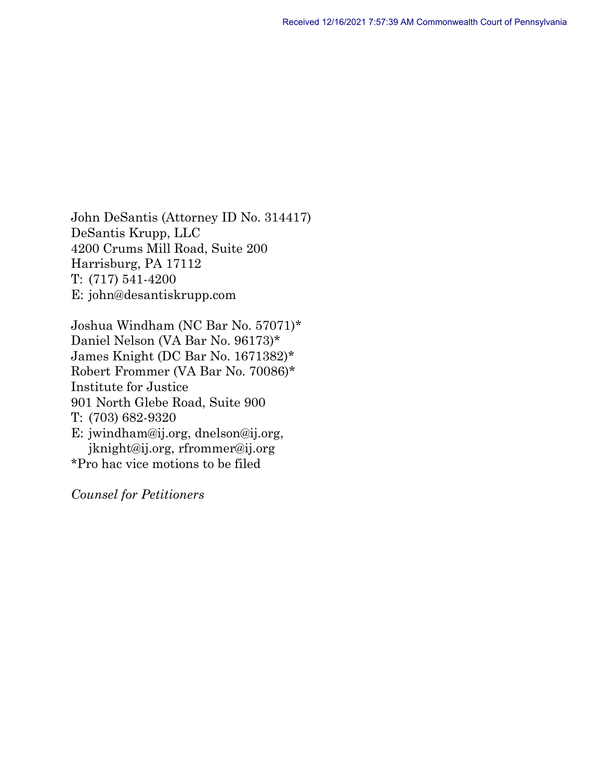John DeSantis (Attorney ID No. 314417) DeSantis Krupp, LLC 4200 Crums Mill Road, Suite 200 Harrisburg, PA 17112 T: (717) 541-4200 E: john@desantiskrupp.com

Joshua Windham (NC Bar No. 57071)\* Daniel Nelson (VA Bar No. 96173)\* James Knight (DC Bar No. 1671382)\* Robert Frommer (VA Bar No. 70086)\* Institute for Justice 901 North Glebe Road, Suite 900 T: (703) 682-9320 E: jwindham@ij.org, dnelson@ij.org, jknight@ij.org, rfrommer@ij.org \*Pro hac vice motions to be filed

*Counsel for Petitioners*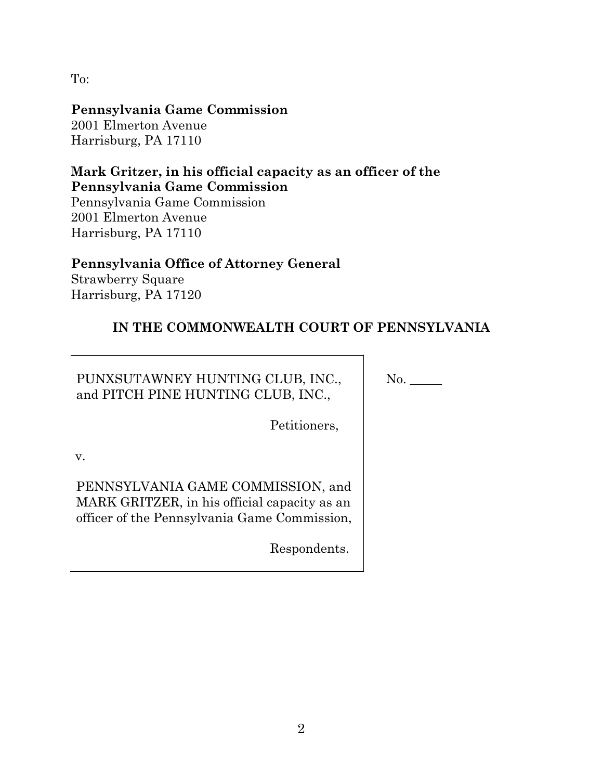To:

# **Pennsylvania Game Commission**

2001 Elmerton Avenue Harrisburg, PA 17110

# **Mark Gritzer, in his official capacity as an officer of the Pennsylvania Game Commission**

Pennsylvania Game Commission 2001 Elmerton Avenue Harrisburg, PA 17110

# **Pennsylvania Office of Attorney General**

Strawberry Square Harrisburg, PA 17120

# **IN THE COMMONWEALTH COURT OF PENNSYLVANIA**

PUNXSUTAWNEY HUNTING CLUB, INC., and PITCH PINE HUNTING CLUB, INC.,

No.

Petitioners,

v.

PENNSYLVANIA GAME COMMISSION, and MARK GRITZER, in his official capacity as an officer of the Pennsylvania Game Commission,

Respondents.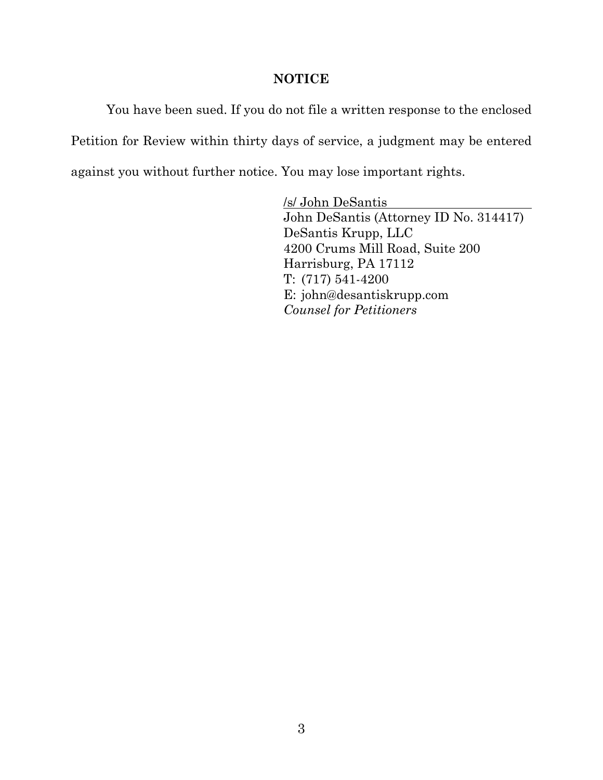#### **NOTICE**

You have been sued. If you do not file a written response to the enclosed Petition for Review within thirty days of service, a judgment may be entered against you without further notice. You may lose important rights.

> /s/ John DeSantis John DeSantis (Attorney ID No. 314417) DeSantis Krupp, LLC 4200 Crums Mill Road, Suite 200 Harrisburg, PA 17112 T: (717) 541-4200 E: john@desantiskrupp.com *Counsel for Petitioners*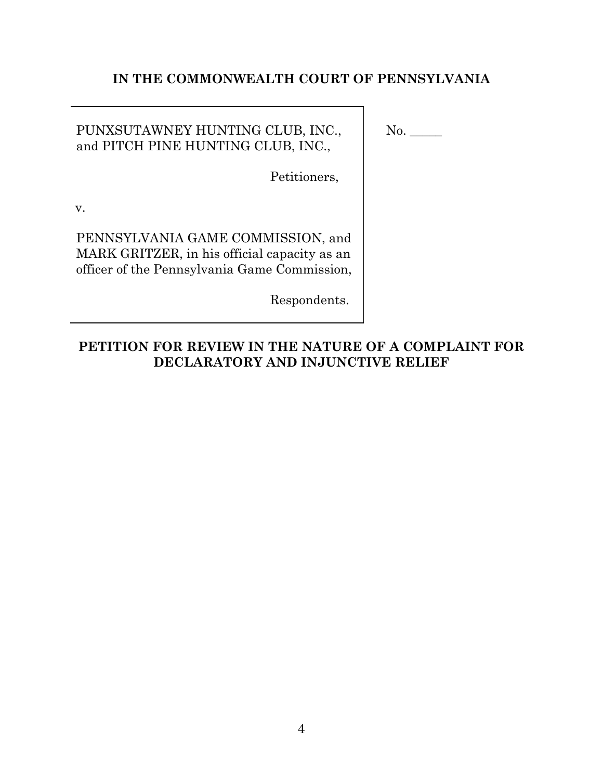### **IN THE COMMONWEALTH COURT OF PENNSYLVANIA**

### PUNXSUTAWNEY HUNTING CLUB, INC., and PITCH PINE HUNTING CLUB, INC.,

No.

Petitioners,

v.

PENNSYLVANIA GAME COMMISSION, and MARK GRITZER, in his official capacity as an officer of the Pennsylvania Game Commission,

Respondents.

## **PETITION FOR REVIEW IN THE NATURE OF A COMPLAINT FOR DECLARATORY AND INJUNCTIVE RELIEF**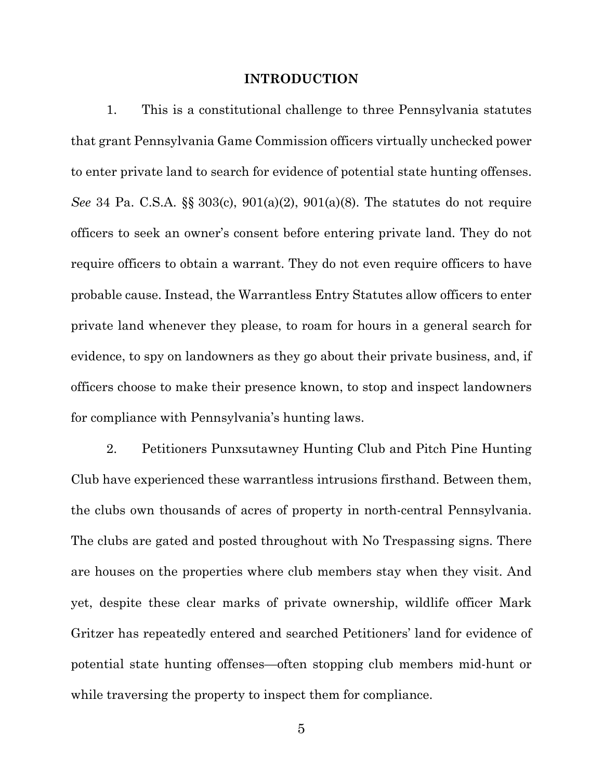#### **INTRODUCTION**

1. This is a constitutional challenge to three Pennsylvania statutes that grant Pennsylvania Game Commission officers virtually unchecked power to enter private land to search for evidence of potential state hunting offenses. *See* 34 Pa. C.S.A. §§ 303(c), 901(a)(2), 901(a)(8). The statutes do not require officers to seek an owner's consent before entering private land. They do not require officers to obtain a warrant. They do not even require officers to have probable cause. Instead, the Warrantless Entry Statutes allow officers to enter private land whenever they please, to roam for hours in a general search for evidence, to spy on landowners as they go about their private business, and, if officers choose to make their presence known, to stop and inspect landowners for compliance with Pennsylvania's hunting laws.

2. Petitioners Punxsutawney Hunting Club and Pitch Pine Hunting Club have experienced these warrantless intrusions firsthand. Between them, the clubs own thousands of acres of property in north-central Pennsylvania. The clubs are gated and posted throughout with No Trespassing signs. There are houses on the properties where club members stay when they visit. And yet, despite these clear marks of private ownership, wildlife officer Mark Gritzer has repeatedly entered and searched Petitioners' land for evidence of potential state hunting offenses—often stopping club members mid-hunt or while traversing the property to inspect them for compliance.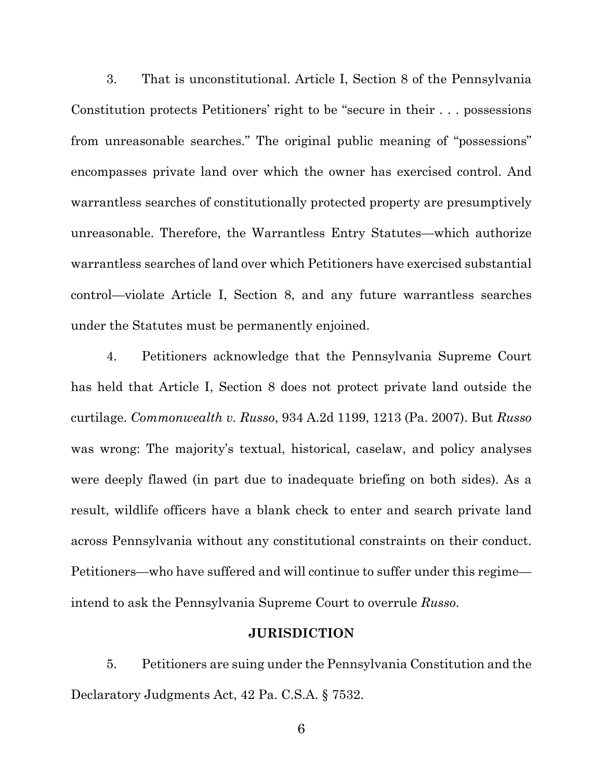3. That is unconstitutional. Article I, Section 8 of the Pennsylvania Constitution protects Petitioners' right to be "secure in their . . . possessions from unreasonable searches." The original public meaning of "possessions" encompasses private land over which the owner has exercised control. And warrantless searches of constitutionally protected property are presumptively unreasonable. Therefore, the Warrantless Entry Statutes—which authorize warrantless searches of land over which Petitioners have exercised substantial control—violate Article I, Section 8, and any future warrantless searches under the Statutes must be permanently enjoined.

4. Petitioners acknowledge that the Pennsylvania Supreme Court has held that Article I, Section 8 does not protect private land outside the curtilage. *Commonwealth v. Russo*, 934 A.2d 1199, 1213 (Pa. 2007). But *Russo* was wrong: The majority's textual, historical, caselaw, and policy analyses were deeply flawed (in part due to inadequate briefing on both sides). As a result, wildlife officers have a blank check to enter and search private land across Pennsylvania without any constitutional constraints on their conduct. Petitioners—who have suffered and will continue to suffer under this regime intend to ask the Pennsylvania Supreme Court to overrule *Russo*.

#### **JURISDICTION**

5. Petitioners are suing under the Pennsylvania Constitution and the Declaratory Judgments Act, 42 Pa. C.S.A. § 7532.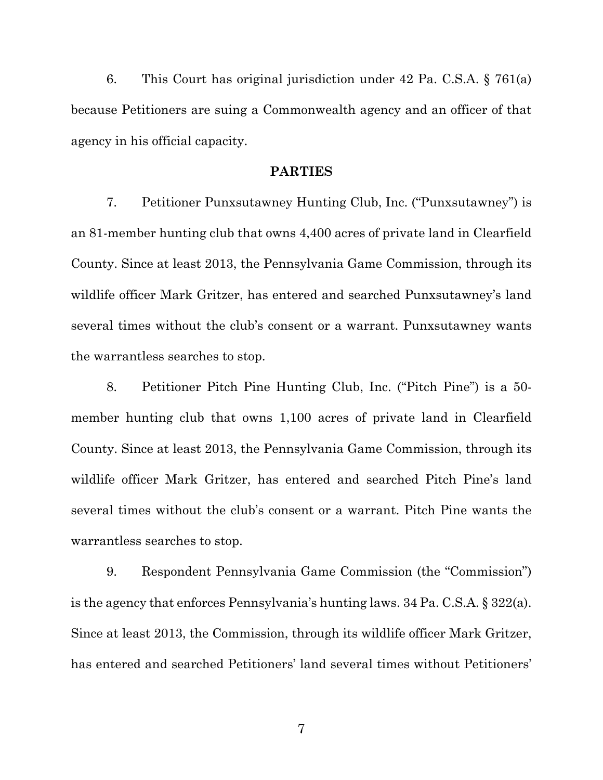6. This Court has original jurisdiction under 42 Pa. C.S.A. § 761(a) because Petitioners are suing a Commonwealth agency and an officer of that agency in his official capacity.

#### **PARTIES**

7. Petitioner Punxsutawney Hunting Club, Inc. ("Punxsutawney") is an 81-member hunting club that owns 4,400 acres of private land in Clearfield County. Since at least 2013, the Pennsylvania Game Commission, through its wildlife officer Mark Gritzer, has entered and searched Punxsutawney's land several times without the club's consent or a warrant. Punxsutawney wants the warrantless searches to stop.

8. Petitioner Pitch Pine Hunting Club, Inc. ("Pitch Pine") is a 50 member hunting club that owns 1,100 acres of private land in Clearfield County. Since at least 2013, the Pennsylvania Game Commission, through its wildlife officer Mark Gritzer, has entered and searched Pitch Pine's land several times without the club's consent or a warrant. Pitch Pine wants the warrantless searches to stop.

9. Respondent Pennsylvania Game Commission (the "Commission") is the agency that enforces Pennsylvania's hunting laws. 34 Pa. C.S.A. § 322(a). Since at least 2013, the Commission, through its wildlife officer Mark Gritzer, has entered and searched Petitioners' land several times without Petitioners'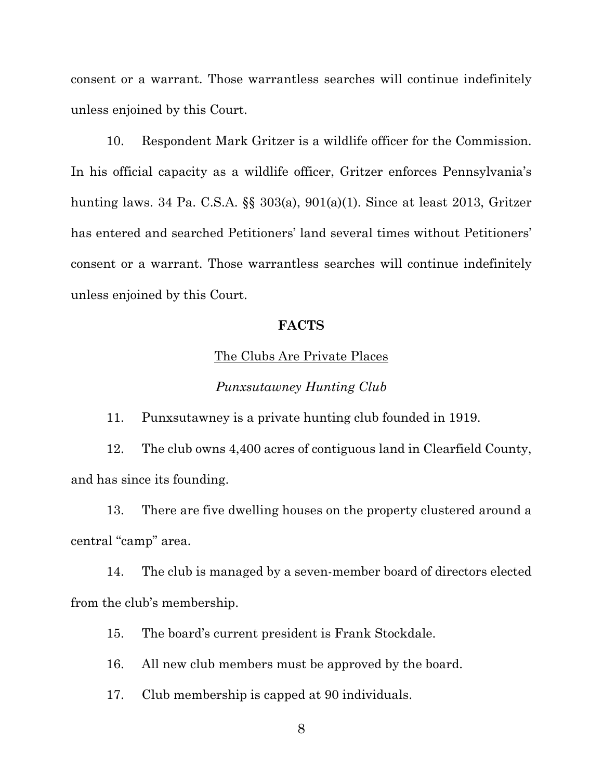consent or a warrant. Those warrantless searches will continue indefinitely unless enjoined by this Court.

10. Respondent Mark Gritzer is a wildlife officer for the Commission. In his official capacity as a wildlife officer, Gritzer enforces Pennsylvania's hunting laws. 34 Pa. C.S.A. §§ 303(a), 901(a)(1). Since at least 2013, Gritzer has entered and searched Petitioners' land several times without Petitioners' consent or a warrant. Those warrantless searches will continue indefinitely unless enjoined by this Court.

### **FACTS**

#### The Clubs Are Private Places

#### *Punxsutawney Hunting Club*

11. Punxsutawney is a private hunting club founded in 1919.

12. The club owns 4,400 acres of contiguous land in Clearfield County, and has since its founding.

13. There are five dwelling houses on the property clustered around a central "camp" area.

14. The club is managed by a seven-member board of directors elected from the club's membership.

15. The board's current president is Frank Stockdale.

16. All new club members must be approved by the board.

17. Club membership is capped at 90 individuals.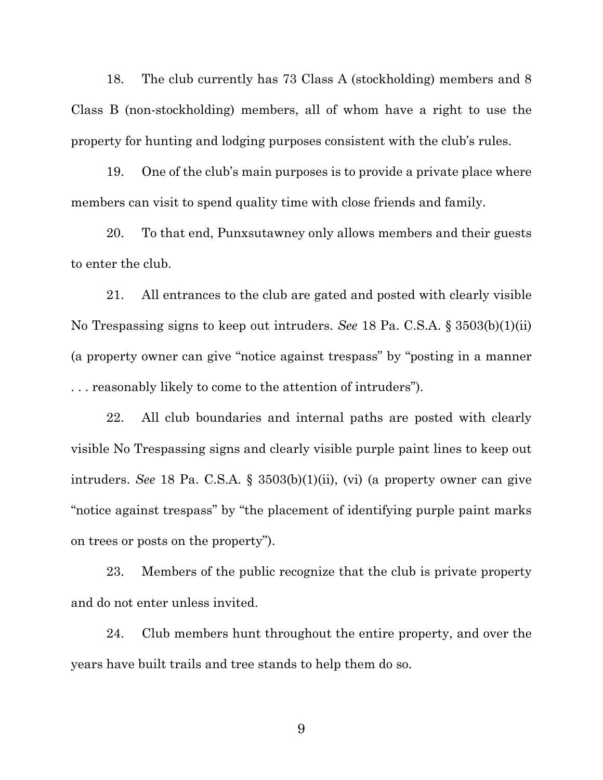18. The club currently has 73 Class A (stockholding) members and 8 Class B (non-stockholding) members, all of whom have a right to use the property for hunting and lodging purposes consistent with the club's rules.

19. One of the club's main purposes is to provide a private place where members can visit to spend quality time with close friends and family.

20. To that end, Punxsutawney only allows members and their guests to enter the club.

21. All entrances to the club are gated and posted with clearly visible No Trespassing signs to keep out intruders. *See* 18 Pa. C.S.A. § 3503(b)(1)(ii) (a property owner can give "notice against trespass" by "posting in a manner . . . reasonably likely to come to the attention of intruders").

22. All club boundaries and internal paths are posted with clearly visible No Trespassing signs and clearly visible purple paint lines to keep out intruders. *See* 18 Pa. C.S.A. § 3503(b)(1)(ii), (vi) (a property owner can give "notice against trespass" by "the placement of identifying purple paint marks on trees or posts on the property").

23. Members of the public recognize that the club is private property and do not enter unless invited.

24. Club members hunt throughout the entire property, and over the years have built trails and tree stands to help them do so.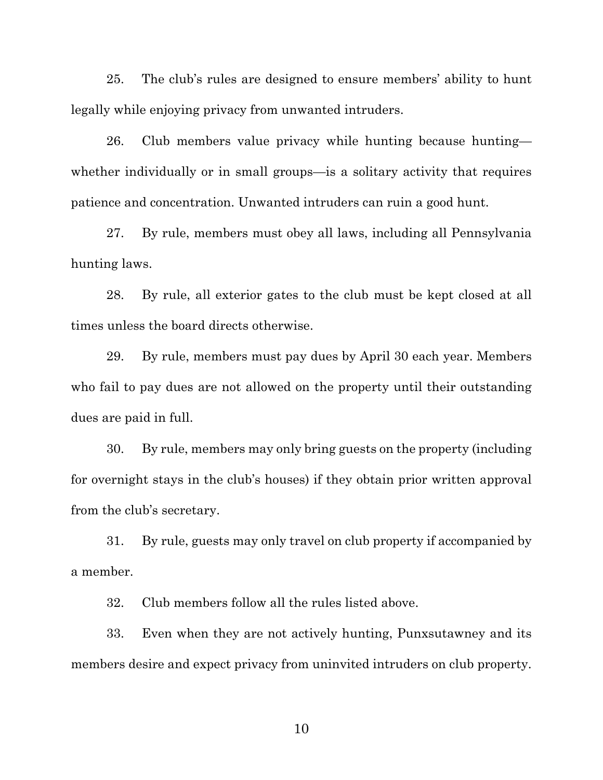25. The club's rules are designed to ensure members' ability to hunt legally while enjoying privacy from unwanted intruders.

26. Club members value privacy while hunting because hunting whether individually or in small groups—is a solitary activity that requires patience and concentration. Unwanted intruders can ruin a good hunt.

27. By rule, members must obey all laws, including all Pennsylvania hunting laws.

28. By rule, all exterior gates to the club must be kept closed at all times unless the board directs otherwise.

29. By rule, members must pay dues by April 30 each year. Members who fail to pay dues are not allowed on the property until their outstanding dues are paid in full.

30. By rule, members may only bring guests on the property (including for overnight stays in the club's houses) if they obtain prior written approval from the club's secretary.

31. By rule, guests may only travel on club property if accompanied by a member.

32. Club members follow all the rules listed above.

33. Even when they are not actively hunting, Punxsutawney and its members desire and expect privacy from uninvited intruders on club property.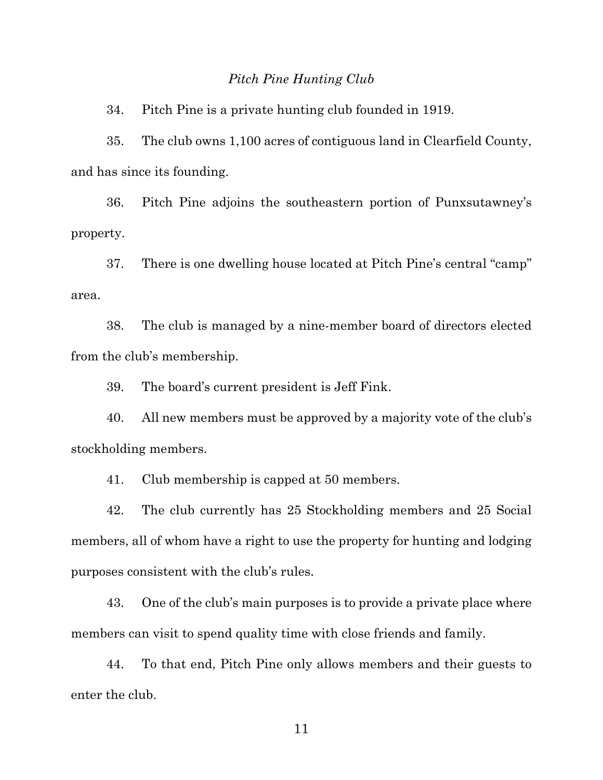#### *Pitch Pine Hunting Club*

34. Pitch Pine is a private hunting club founded in 1919.

35. The club owns 1,100 acres of contiguous land in Clearfield County, and has since its founding.

36. Pitch Pine adjoins the southeastern portion of Punxsutawney's property.

37. There is one dwelling house located at Pitch Pine's central "camp" area.

38. The club is managed by a nine-member board of directors elected from the club's membership.

39. The board's current president is Jeff Fink.

40. All new members must be approved by a majority vote of the club's stockholding members.

41. Club membership is capped at 50 members.

42. The club currently has 25 Stockholding members and 25 Social members, all of whom have a right to use the property for hunting and lodging purposes consistent with the club's rules.

43. One of the club's main purposes is to provide a private place where members can visit to spend quality time with close friends and family.

44. To that end, Pitch Pine only allows members and their guests to enter the club.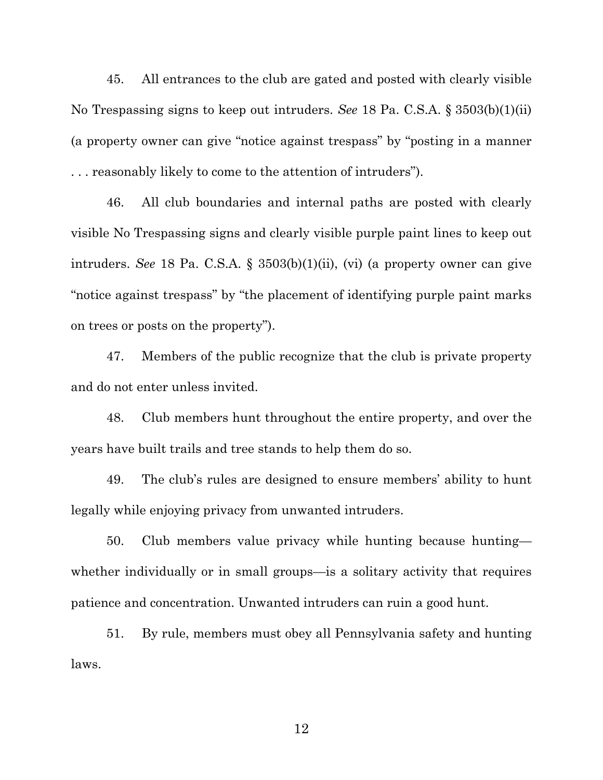45. All entrances to the club are gated and posted with clearly visible No Trespassing signs to keep out intruders. *See* 18 Pa. C.S.A. § 3503(b)(1)(ii) (a property owner can give "notice against trespass" by "posting in a manner . . . reasonably likely to come to the attention of intruders").

46. All club boundaries and internal paths are posted with clearly visible No Trespassing signs and clearly visible purple paint lines to keep out intruders. *See* 18 Pa. C.S.A. § 3503(b)(1)(ii), (vi) (a property owner can give "notice against trespass" by "the placement of identifying purple paint marks on trees or posts on the property").

47. Members of the public recognize that the club is private property and do not enter unless invited.

48. Club members hunt throughout the entire property, and over the years have built trails and tree stands to help them do so.

49. The club's rules are designed to ensure members' ability to hunt legally while enjoying privacy from unwanted intruders.

50. Club members value privacy while hunting because hunting whether individually or in small groups—is a solitary activity that requires patience and concentration. Unwanted intruders can ruin a good hunt.

51. By rule, members must obey all Pennsylvania safety and hunting laws.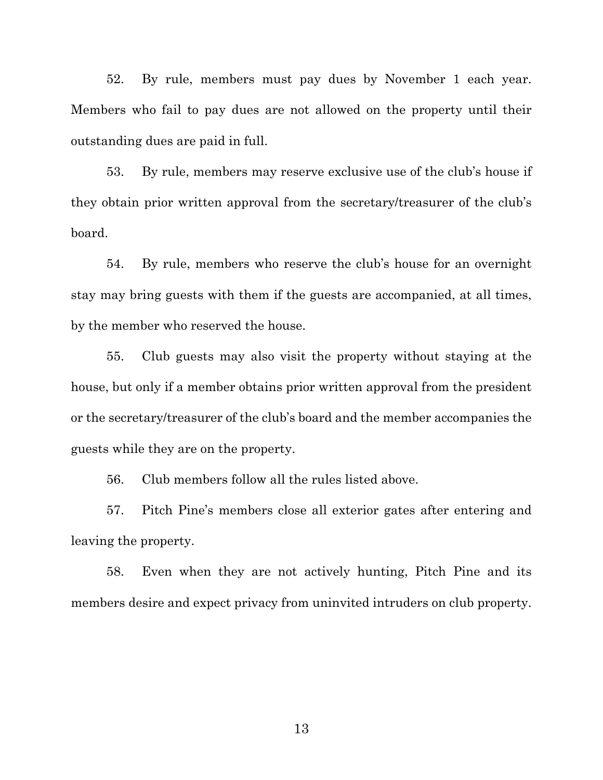52. By rule, members must pay dues by November 1 each year. Members who fail to pay dues are not allowed on the property until their outstanding dues are paid in full.

53. By rule, members may reserve exclusive use of the club's house if they obtain prior written approval from the secretary/treasurer of the club's board.

54. By rule, members who reserve the club's house for an overnight stay may bring guests with them if the guests are accompanied, at all times, by the member who reserved the house.

55. Club guests may also visit the property without staying at the house, but only if a member obtains prior written approval from the president or the secretary/treasurer of the club's board and the member accompanies the guests while they are on the property.

56. Club members follow all the rules listed above.

57. Pitch Pine's members close all exterior gates after entering and leaving the property.

58. Even when they are not actively hunting, Pitch Pine and its members desire and expect privacy from uninvited intruders on club property.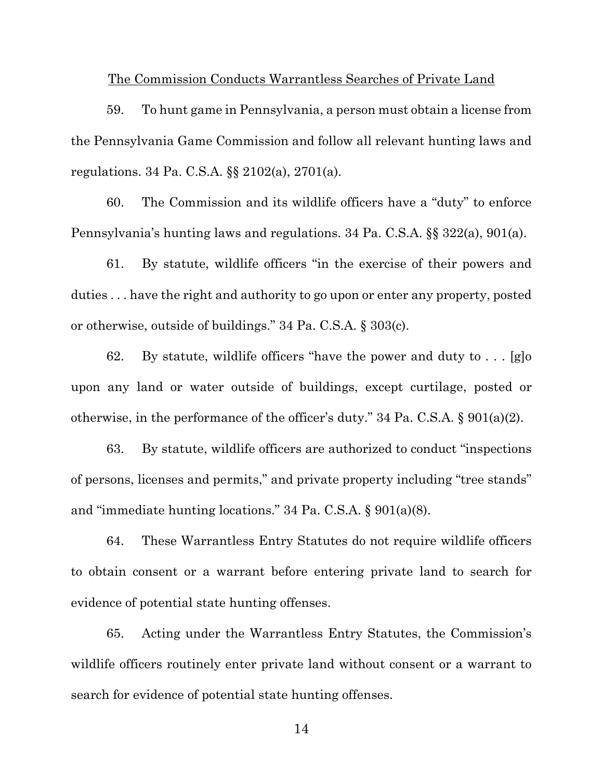#### The Commission Conducts Warrantless Searches of Private Land

59. To hunt game in Pennsylvania, a person must obtain a license from the Pennsylvania Game Commission and follow all relevant hunting laws and regulations. 34 Pa. C.S.A. §§ 2102(a), 2701(a).

60. The Commission and its wildlife officers have a "duty" to enforce Pennsylvania's hunting laws and regulations. 34 Pa. C.S.A. §§ 322(a), 901(a).

61. By statute, wildlife officers "in the exercise of their powers and duties . . . have the right and authority to go upon or enter any property, posted or otherwise, outside of buildings." 34 Pa. C.S.A. § 303(c).

62. By statute, wildlife officers "have the power and duty to . . . [g]o upon any land or water outside of buildings, except curtilage, posted or otherwise, in the performance of the officer's duty." 34 Pa. C.S.A. § 901(a)(2).

63. By statute, wildlife officers are authorized to conduct "inspections of persons, licenses and permits," and private property including "tree stands" and "immediate hunting locations." 34 Pa. C.S.A. § 901(a)(8).

64. These Warrantless Entry Statutes do not require wildlife officers to obtain consent or a warrant before entering private land to search for evidence of potential state hunting offenses.

65. Acting under the Warrantless Entry Statutes, the Commission's wildlife officers routinely enter private land without consent or a warrant to search for evidence of potential state hunting offenses.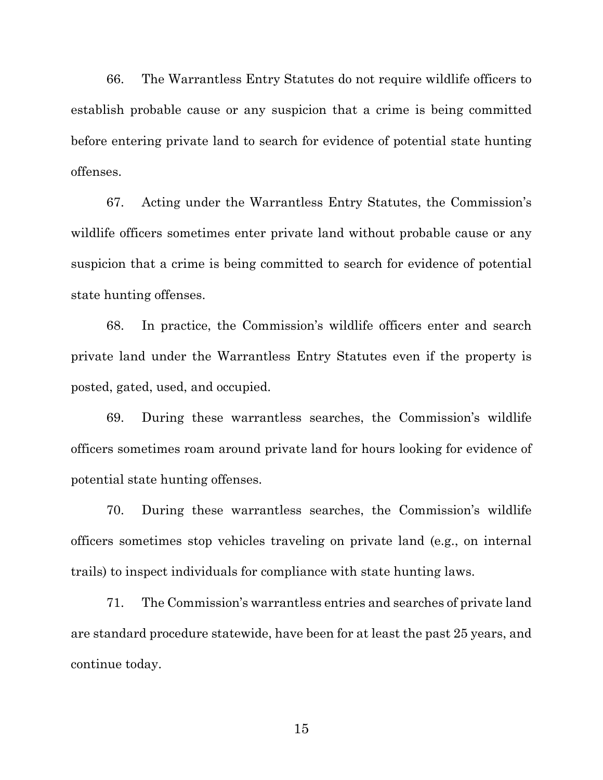66. The Warrantless Entry Statutes do not require wildlife officers to establish probable cause or any suspicion that a crime is being committed before entering private land to search for evidence of potential state hunting offenses.

67. Acting under the Warrantless Entry Statutes, the Commission's wildlife officers sometimes enter private land without probable cause or any suspicion that a crime is being committed to search for evidence of potential state hunting offenses.

68. In practice, the Commission's wildlife officers enter and search private land under the Warrantless Entry Statutes even if the property is posted, gated, used, and occupied.

69. During these warrantless searches, the Commission's wildlife officers sometimes roam around private land for hours looking for evidence of potential state hunting offenses.

70. During these warrantless searches, the Commission's wildlife officers sometimes stop vehicles traveling on private land (e.g., on internal trails) to inspect individuals for compliance with state hunting laws.

71. The Commission's warrantless entries and searches of private land are standard procedure statewide, have been for at least the past 25 years, and continue today.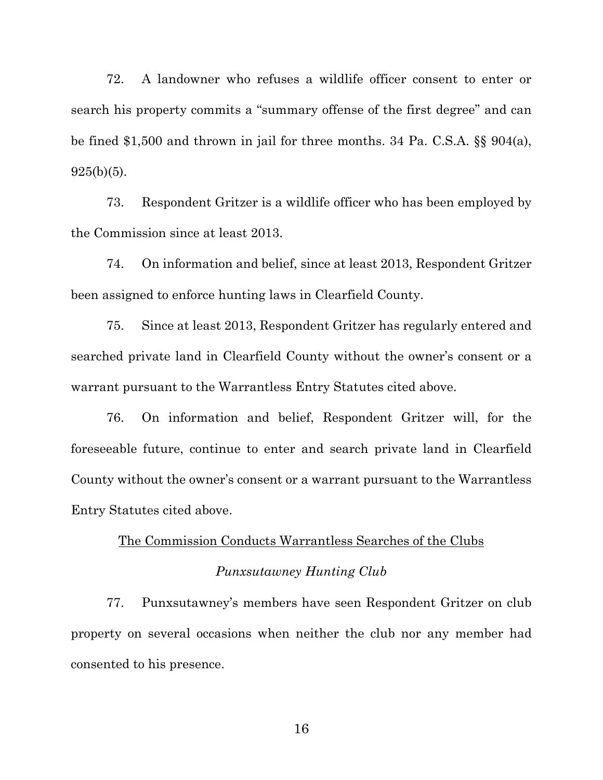72. A landowner who refuses a wildlife officer consent to enter or search his property commits a "summary offense of the first degree" and can be fined \$1,500 and thrown in jail for three months. 34 Pa. C.S.A. §§ 904(a),  $925(b)(5)$ .

73. Respondent Gritzer is a wildlife officer who has been employed by the Commission since at least 2013.

74. On information and belief, since at least 2013, Respondent Gritzer been assigned to enforce hunting laws in Clearfield County.

75. Since at least 2013, Respondent Gritzer has regularly entered and searched private land in Clearfield County without the owner's consent or a warrant pursuant to the Warrantless Entry Statutes cited above.

76. On information and belief, Respondent Gritzer will, for the foreseeable future, continue to enter and search private land in Clearfield County without the owner's consent or a warrant pursuant to the Warrantless Entry Statutes cited above.

#### The Commission Conducts Warrantless Searches of the Clubs

#### *Punxsutawney Hunting Club*

77. Punxsutawney's members have seen Respondent Gritzer on club property on several occasions when neither the club nor any member had consented to his presence.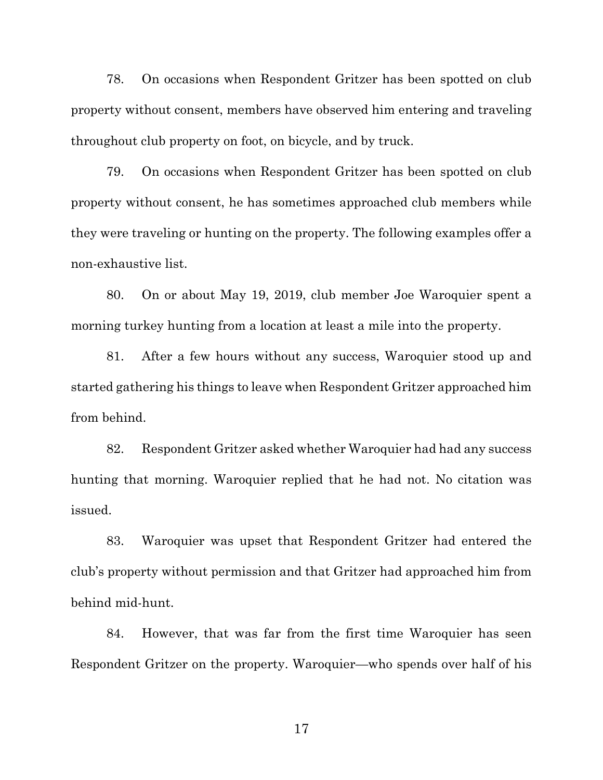78. On occasions when Respondent Gritzer has been spotted on club property without consent, members have observed him entering and traveling throughout club property on foot, on bicycle, and by truck.

79. On occasions when Respondent Gritzer has been spotted on club property without consent, he has sometimes approached club members while they were traveling or hunting on the property. The following examples offer a non-exhaustive list.

80. On or about May 19, 2019, club member Joe Waroquier spent a morning turkey hunting from a location at least a mile into the property.

81. After a few hours without any success, Waroquier stood up and started gathering his things to leave when Respondent Gritzer approached him from behind.

82. Respondent Gritzer asked whether Waroquier had had any success hunting that morning. Waroquier replied that he had not. No citation was issued.

83. Waroquier was upset that Respondent Gritzer had entered the club's property without permission and that Gritzer had approached him from behind mid-hunt.

84. However, that was far from the first time Waroquier has seen Respondent Gritzer on the property. Waroquier—who spends over half of his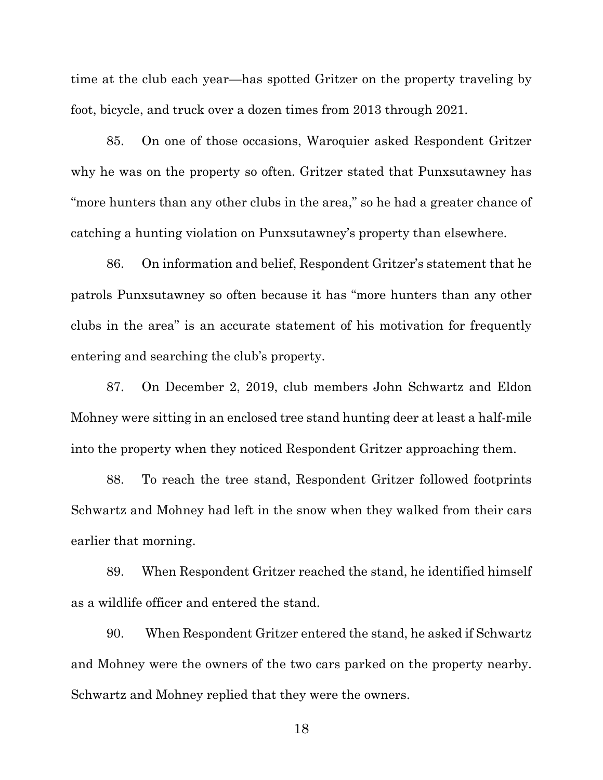time at the club each year—has spotted Gritzer on the property traveling by foot, bicycle, and truck over a dozen times from 2013 through 2021.

85. On one of those occasions, Waroquier asked Respondent Gritzer why he was on the property so often. Gritzer stated that Punxsutawney has "more hunters than any other clubs in the area," so he had a greater chance of catching a hunting violation on Punxsutawney's property than elsewhere.

86. On information and belief, Respondent Gritzer's statement that he patrols Punxsutawney so often because it has "more hunters than any other clubs in the area" is an accurate statement of his motivation for frequently entering and searching the club's property.

87. On December 2, 2019, club members John Schwartz and Eldon Mohney were sitting in an enclosed tree stand hunting deer at least a half-mile into the property when they noticed Respondent Gritzer approaching them.

88. To reach the tree stand, Respondent Gritzer followed footprints Schwartz and Mohney had left in the snow when they walked from their cars earlier that morning.

89. When Respondent Gritzer reached the stand, he identified himself as a wildlife officer and entered the stand.

90. When Respondent Gritzer entered the stand, he asked if Schwartz and Mohney were the owners of the two cars parked on the property nearby. Schwartz and Mohney replied that they were the owners.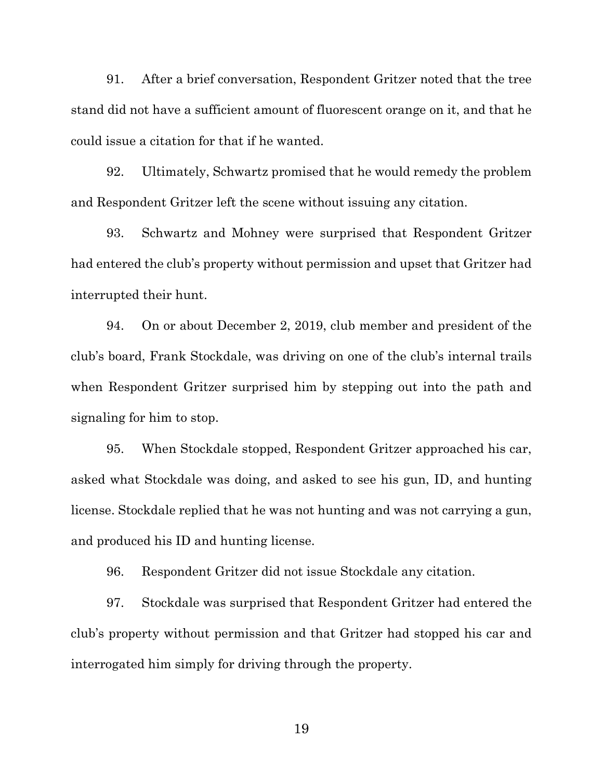91. After a brief conversation, Respondent Gritzer noted that the tree stand did not have a sufficient amount of fluorescent orange on it, and that he could issue a citation for that if he wanted.

92. Ultimately, Schwartz promised that he would remedy the problem and Respondent Gritzer left the scene without issuing any citation.

93. Schwartz and Mohney were surprised that Respondent Gritzer had entered the club's property without permission and upset that Gritzer had interrupted their hunt.

94. On or about December 2, 2019, club member and president of the club's board, Frank Stockdale, was driving on one of the club's internal trails when Respondent Gritzer surprised him by stepping out into the path and signaling for him to stop.

95. When Stockdale stopped, Respondent Gritzer approached his car, asked what Stockdale was doing, and asked to see his gun, ID, and hunting license. Stockdale replied that he was not hunting and was not carrying a gun, and produced his ID and hunting license.

96. Respondent Gritzer did not issue Stockdale any citation.

97. Stockdale was surprised that Respondent Gritzer had entered the club's property without permission and that Gritzer had stopped his car and interrogated him simply for driving through the property.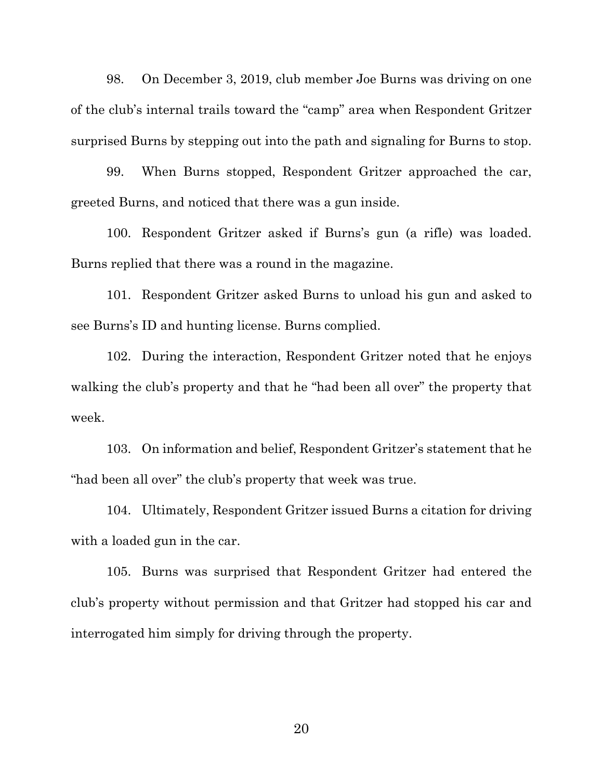98. On December 3, 2019, club member Joe Burns was driving on one of the club's internal trails toward the "camp" area when Respondent Gritzer surprised Burns by stepping out into the path and signaling for Burns to stop.

99. When Burns stopped, Respondent Gritzer approached the car, greeted Burns, and noticed that there was a gun inside.

100. Respondent Gritzer asked if Burns's gun (a rifle) was loaded. Burns replied that there was a round in the magazine.

101. Respondent Gritzer asked Burns to unload his gun and asked to see Burns's ID and hunting license. Burns complied.

102. During the interaction, Respondent Gritzer noted that he enjoys walking the club's property and that he "had been all over" the property that week.

103. On information and belief, Respondent Gritzer's statement that he "had been all over" the club's property that week was true.

104. Ultimately, Respondent Gritzer issued Burns a citation for driving with a loaded gun in the car.

105. Burns was surprised that Respondent Gritzer had entered the club's property without permission and that Gritzer had stopped his car and interrogated him simply for driving through the property.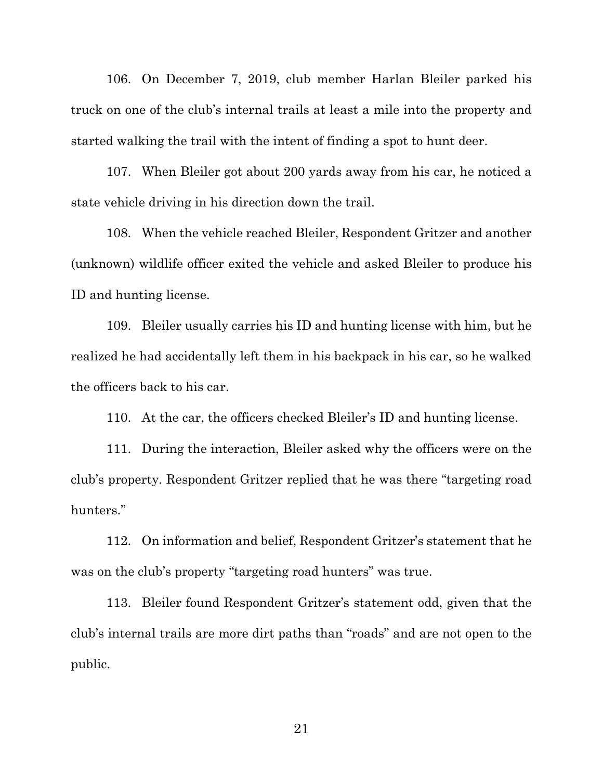106. On December 7, 2019, club member Harlan Bleiler parked his truck on one of the club's internal trails at least a mile into the property and started walking the trail with the intent of finding a spot to hunt deer.

107. When Bleiler got about 200 yards away from his car, he noticed a state vehicle driving in his direction down the trail.

108. When the vehicle reached Bleiler, Respondent Gritzer and another (unknown) wildlife officer exited the vehicle and asked Bleiler to produce his ID and hunting license.

109. Bleiler usually carries his ID and hunting license with him, but he realized he had accidentally left them in his backpack in his car, so he walked the officers back to his car.

110. At the car, the officers checked Bleiler's ID and hunting license.

111. During the interaction, Bleiler asked why the officers were on the club's property. Respondent Gritzer replied that he was there "targeting road hunters."

112. On information and belief, Respondent Gritzer's statement that he was on the club's property "targeting road hunters" was true.

113. Bleiler found Respondent Gritzer's statement odd, given that the club's internal trails are more dirt paths than "roads" and are not open to the public.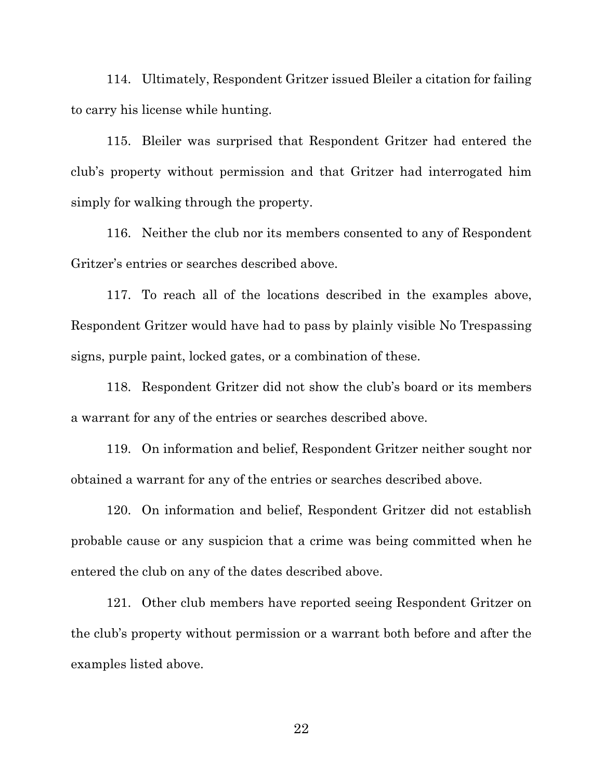114. Ultimately, Respondent Gritzer issued Bleiler a citation for failing to carry his license while hunting.

115. Bleiler was surprised that Respondent Gritzer had entered the club's property without permission and that Gritzer had interrogated him simply for walking through the property.

116. Neither the club nor its members consented to any of Respondent Gritzer's entries or searches described above.

117. To reach all of the locations described in the examples above, Respondent Gritzer would have had to pass by plainly visible No Trespassing signs, purple paint, locked gates, or a combination of these.

118. Respondent Gritzer did not show the club's board or its members a warrant for any of the entries or searches described above.

119. On information and belief, Respondent Gritzer neither sought nor obtained a warrant for any of the entries or searches described above.

120. On information and belief, Respondent Gritzer did not establish probable cause or any suspicion that a crime was being committed when he entered the club on any of the dates described above.

121. Other club members have reported seeing Respondent Gritzer on the club's property without permission or a warrant both before and after the examples listed above.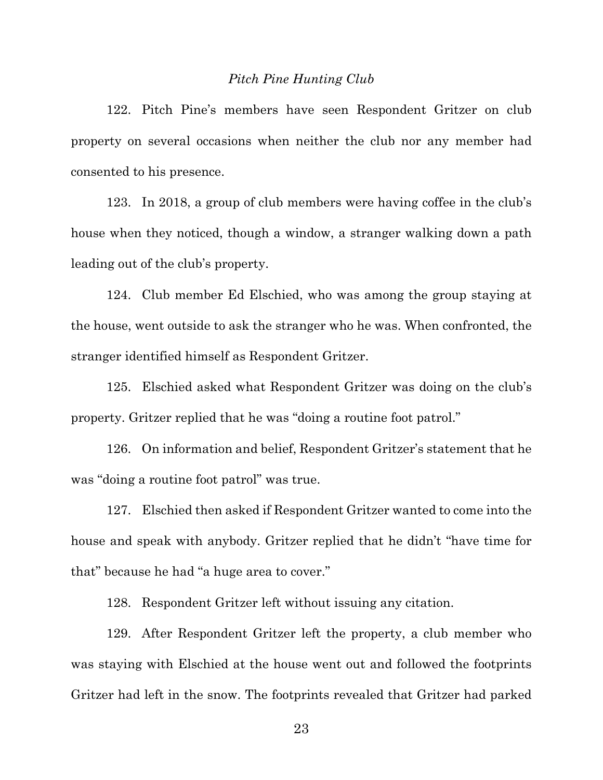#### *Pitch Pine Hunting Club*

122. Pitch Pine's members have seen Respondent Gritzer on club property on several occasions when neither the club nor any member had consented to his presence.

123. In 2018, a group of club members were having coffee in the club's house when they noticed, though a window, a stranger walking down a path leading out of the club's property.

124. Club member Ed Elschied, who was among the group staying at the house, went outside to ask the stranger who he was. When confronted, the stranger identified himself as Respondent Gritzer.

125. Elschied asked what Respondent Gritzer was doing on the club's property. Gritzer replied that he was "doing a routine foot patrol."

126. On information and belief, Respondent Gritzer's statement that he was "doing a routine foot patrol" was true.

127. Elschied then asked if Respondent Gritzer wanted to come into the house and speak with anybody. Gritzer replied that he didn't "have time for that" because he had "a huge area to cover."

128. Respondent Gritzer left without issuing any citation.

129. After Respondent Gritzer left the property, a club member who was staying with Elschied at the house went out and followed the footprints Gritzer had left in the snow. The footprints revealed that Gritzer had parked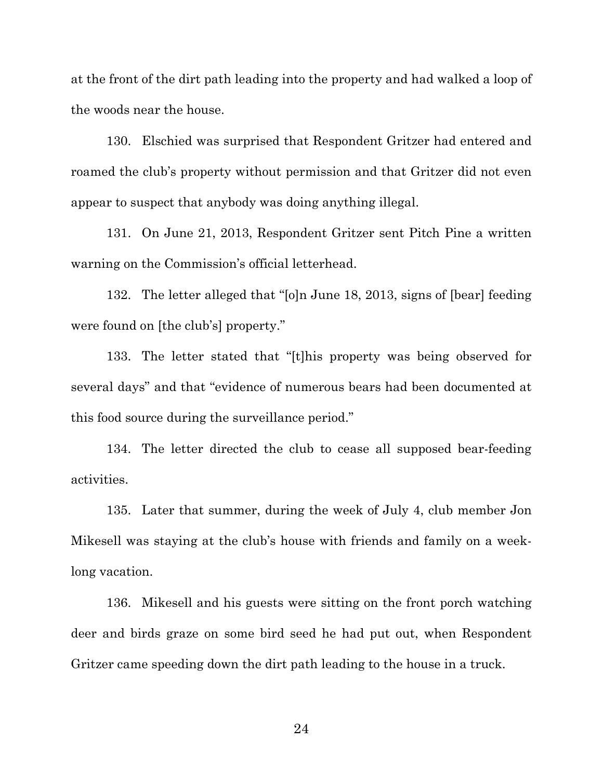at the front of the dirt path leading into the property and had walked a loop of the woods near the house.

130. Elschied was surprised that Respondent Gritzer had entered and roamed the club's property without permission and that Gritzer did not even appear to suspect that anybody was doing anything illegal.

131. On June 21, 2013, Respondent Gritzer sent Pitch Pine a written warning on the Commission's official letterhead.

132. The letter alleged that "[o]n June 18, 2013, signs of [bear] feeding were found on [the club's] property."

133. The letter stated that "[t]his property was being observed for several days" and that "evidence of numerous bears had been documented at this food source during the surveillance period."

134. The letter directed the club to cease all supposed bear-feeding activities.

135. Later that summer, during the week of July 4, club member Jon Mikesell was staying at the club's house with friends and family on a weeklong vacation.

136. Mikesell and his guests were sitting on the front porch watching deer and birds graze on some bird seed he had put out, when Respondent Gritzer came speeding down the dirt path leading to the house in a truck.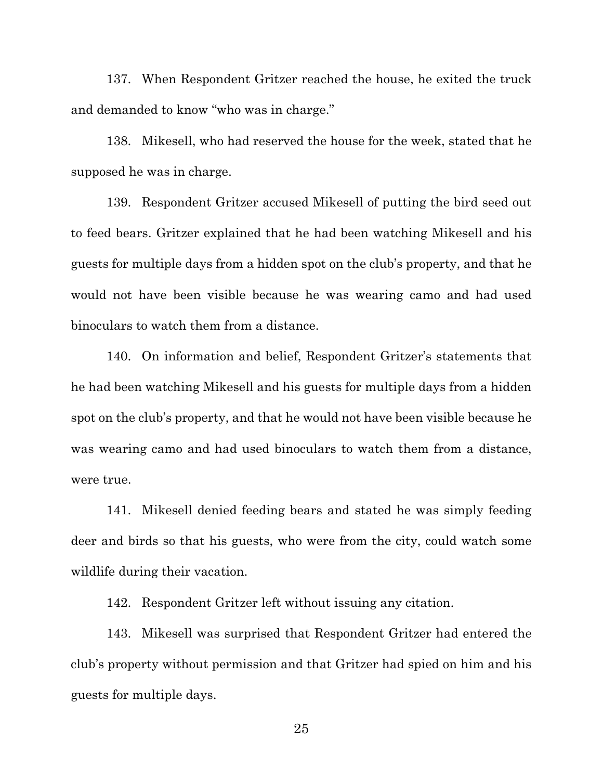137. When Respondent Gritzer reached the house, he exited the truck and demanded to know "who was in charge."

138. Mikesell, who had reserved the house for the week, stated that he supposed he was in charge.

139. Respondent Gritzer accused Mikesell of putting the bird seed out to feed bears. Gritzer explained that he had been watching Mikesell and his guests for multiple days from a hidden spot on the club's property, and that he would not have been visible because he was wearing camo and had used binoculars to watch them from a distance.

140. On information and belief, Respondent Gritzer's statements that he had been watching Mikesell and his guests for multiple days from a hidden spot on the club's property, and that he would not have been visible because he was wearing camo and had used binoculars to watch them from a distance, were true.

141. Mikesell denied feeding bears and stated he was simply feeding deer and birds so that his guests, who were from the city, could watch some wildlife during their vacation.

142. Respondent Gritzer left without issuing any citation.

143. Mikesell was surprised that Respondent Gritzer had entered the club's property without permission and that Gritzer had spied on him and his guests for multiple days.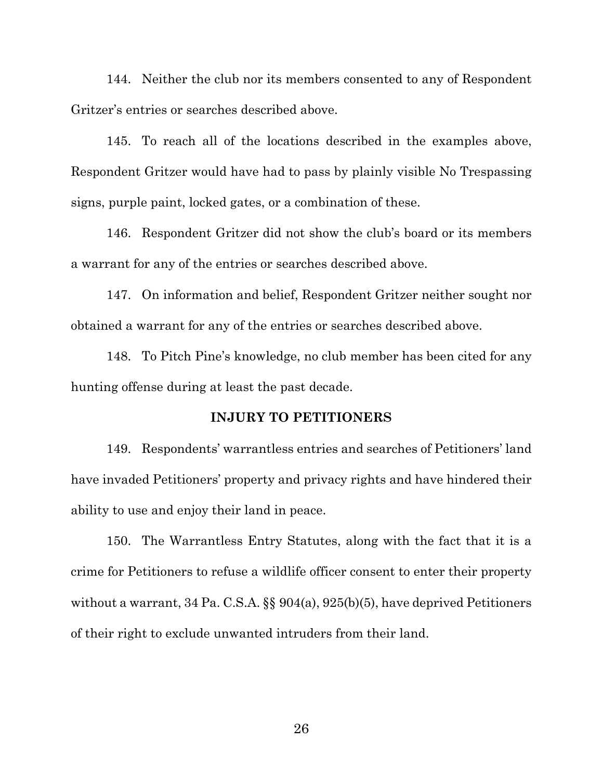144. Neither the club nor its members consented to any of Respondent Gritzer's entries or searches described above.

145. To reach all of the locations described in the examples above, Respondent Gritzer would have had to pass by plainly visible No Trespassing signs, purple paint, locked gates, or a combination of these.

146. Respondent Gritzer did not show the club's board or its members a warrant for any of the entries or searches described above.

147. On information and belief, Respondent Gritzer neither sought nor obtained a warrant for any of the entries or searches described above.

148. To Pitch Pine's knowledge, no club member has been cited for any hunting offense during at least the past decade.

#### **INJURY TO PETITIONERS**

149. Respondents' warrantless entries and searches of Petitioners' land have invaded Petitioners' property and privacy rights and have hindered their ability to use and enjoy their land in peace.

150. The Warrantless Entry Statutes, along with the fact that it is a crime for Petitioners to refuse a wildlife officer consent to enter their property without a warrant, 34 Pa. C.S.A. §§ 904(a), 925(b)(5), have deprived Petitioners of their right to exclude unwanted intruders from their land.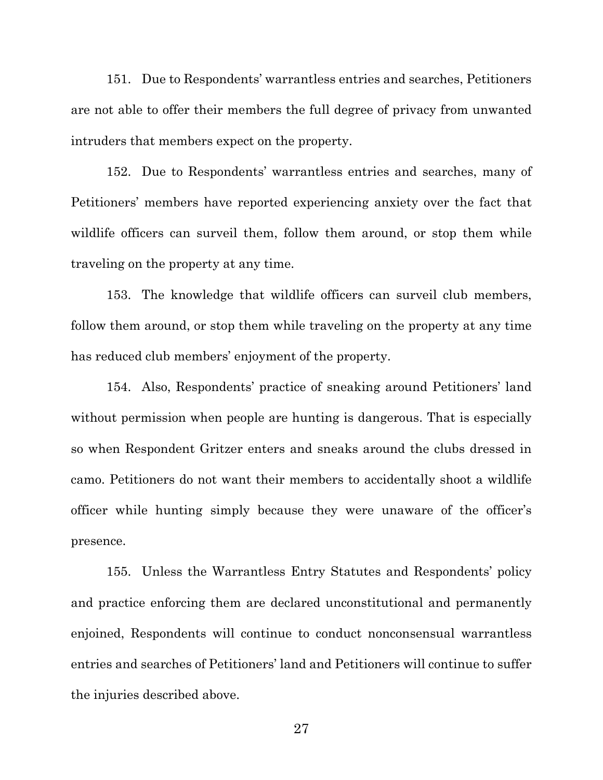151. Due to Respondents' warrantless entries and searches, Petitioners are not able to offer their members the full degree of privacy from unwanted intruders that members expect on the property.

152. Due to Respondents' warrantless entries and searches, many of Petitioners' members have reported experiencing anxiety over the fact that wildlife officers can surveil them, follow them around, or stop them while traveling on the property at any time.

153. The knowledge that wildlife officers can surveil club members, follow them around, or stop them while traveling on the property at any time has reduced club members' enjoyment of the property.

154. Also, Respondents' practice of sneaking around Petitioners' land without permission when people are hunting is dangerous. That is especially so when Respondent Gritzer enters and sneaks around the clubs dressed in camo. Petitioners do not want their members to accidentally shoot a wildlife officer while hunting simply because they were unaware of the officer's presence.

155. Unless the Warrantless Entry Statutes and Respondents' policy and practice enforcing them are declared unconstitutional and permanently enjoined, Respondents will continue to conduct nonconsensual warrantless entries and searches of Petitioners' land and Petitioners will continue to suffer the injuries described above.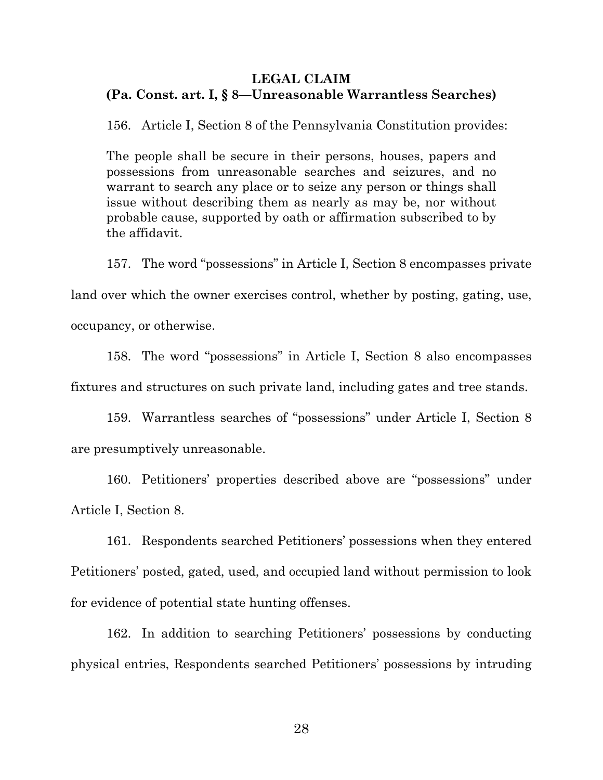### **LEGAL CLAIM (Pa. Const. art. I, § 8—Unreasonable Warrantless Searches)**

156. Article I, Section 8 of the Pennsylvania Constitution provides:

The people shall be secure in their persons, houses, papers and possessions from unreasonable searches and seizures, and no warrant to search any place or to seize any person or things shall issue without describing them as nearly as may be, nor without probable cause, supported by oath or affirmation subscribed to by the affidavit.

157. The word "possessions" in Article I, Section 8 encompasses private

land over which the owner exercises control, whether by posting, gating, use, occupancy, or otherwise.

158. The word "possessions" in Article I, Section 8 also encompasses fixtures and structures on such private land, including gates and tree stands.

159. Warrantless searches of "possessions" under Article I, Section 8 are presumptively unreasonable.

160. Petitioners' properties described above are "possessions" under Article I, Section 8.

161. Respondents searched Petitioners' possessions when they entered Petitioners' posted, gated, used, and occupied land without permission to look for evidence of potential state hunting offenses.

162. In addition to searching Petitioners' possessions by conducting physical entries, Respondents searched Petitioners' possessions by intruding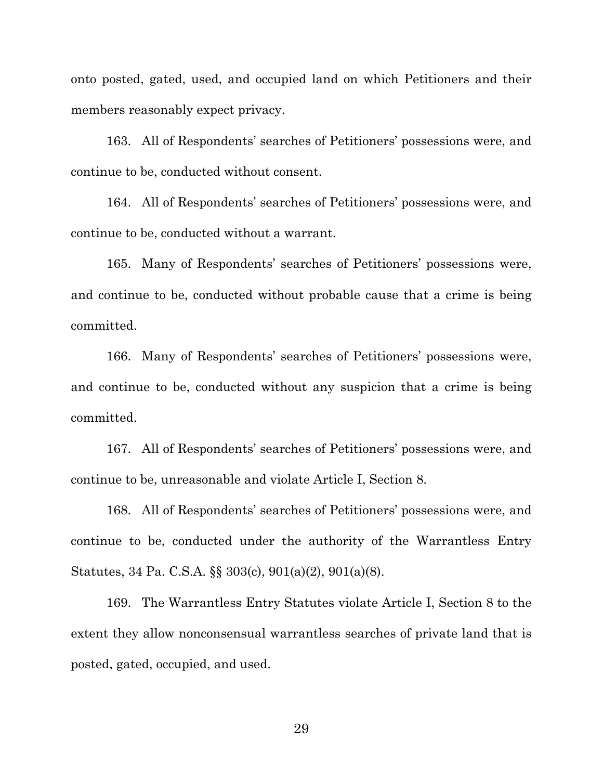onto posted, gated, used, and occupied land on which Petitioners and their members reasonably expect privacy.

163. All of Respondents' searches of Petitioners' possessions were, and continue to be, conducted without consent.

164. All of Respondents' searches of Petitioners' possessions were, and continue to be, conducted without a warrant.

165. Many of Respondents' searches of Petitioners' possessions were, and continue to be, conducted without probable cause that a crime is being committed.

166. Many of Respondents' searches of Petitioners' possessions were, and continue to be, conducted without any suspicion that a crime is being committed.

167. All of Respondents' searches of Petitioners' possessions were, and continue to be, unreasonable and violate Article I, Section 8.

168. All of Respondents' searches of Petitioners' possessions were, and continue to be, conducted under the authority of the Warrantless Entry Statutes, 34 Pa. C.S.A. §§ 303(c), 901(a)(2), 901(a)(8).

169. The Warrantless Entry Statutes violate Article I, Section 8 to the extent they allow nonconsensual warrantless searches of private land that is posted, gated, occupied, and used.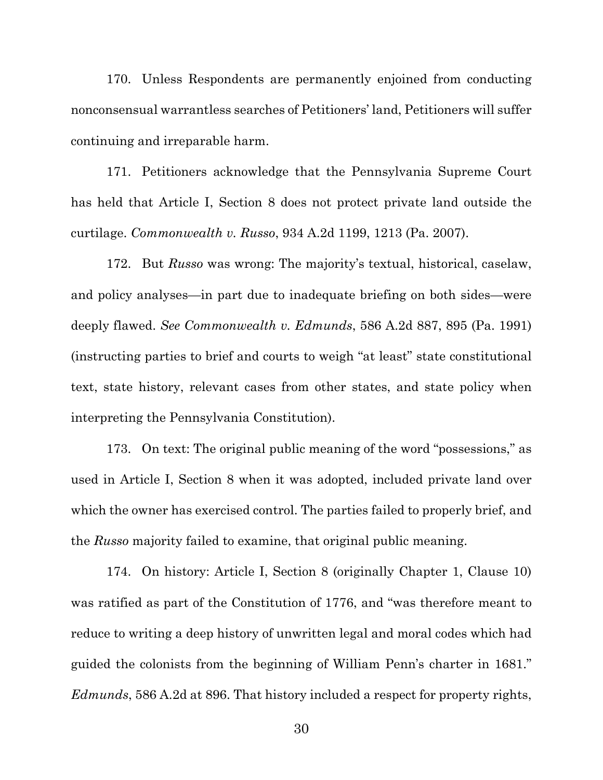170. Unless Respondents are permanently enjoined from conducting nonconsensual warrantless searches of Petitioners' land, Petitioners will suffer continuing and irreparable harm.

171. Petitioners acknowledge that the Pennsylvania Supreme Court has held that Article I, Section 8 does not protect private land outside the curtilage. *Commonwealth v. Russo*, 934 A.2d 1199, 1213 (Pa. 2007).

172. But *Russo* was wrong: The majority's textual, historical, caselaw, and policy analyses—in part due to inadequate briefing on both sides—were deeply flawed. *See Commonwealth v. Edmunds*, 586 A.2d 887, 895 (Pa. 1991) (instructing parties to brief and courts to weigh "at least" state constitutional text, state history, relevant cases from other states, and state policy when interpreting the Pennsylvania Constitution).

173. On text: The original public meaning of the word "possessions," as used in Article I, Section 8 when it was adopted, included private land over which the owner has exercised control. The parties failed to properly brief, and the *Russo* majority failed to examine, that original public meaning.

174. On history: Article I, Section 8 (originally Chapter 1, Clause 10) was ratified as part of the Constitution of 1776, and "was therefore meant to reduce to writing a deep history of unwritten legal and moral codes which had guided the colonists from the beginning of William Penn's charter in 1681." *Edmunds*, 586 A.2d at 896. That history included a respect for property rights,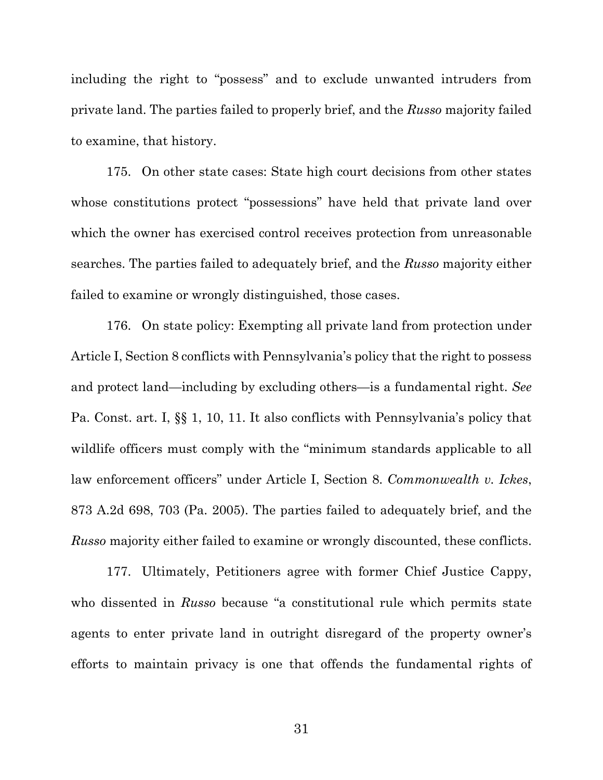including the right to "possess" and to exclude unwanted intruders from private land. The parties failed to properly brief, and the *Russo* majority failed to examine, that history.

175. On other state cases: State high court decisions from other states whose constitutions protect "possessions" have held that private land over which the owner has exercised control receives protection from unreasonable searches. The parties failed to adequately brief, and the *Russo* majority either failed to examine or wrongly distinguished, those cases.

176. On state policy: Exempting all private land from protection under Article I, Section 8 conflicts with Pennsylvania's policy that the right to possess and protect land—including by excluding others—is a fundamental right. *See*  Pa. Const. art. I, §§ 1, 10, 11. It also conflicts with Pennsylvania's policy that wildlife officers must comply with the "minimum standards applicable to all law enforcement officers" under Article I, Section 8. *Commonwealth v. Ickes*, 873 A.2d 698, 703 (Pa. 2005). The parties failed to adequately brief, and the *Russo* majority either failed to examine or wrongly discounted, these conflicts.

177. Ultimately, Petitioners agree with former Chief Justice Cappy, who dissented in *Russo* because "a constitutional rule which permits state agents to enter private land in outright disregard of the property owner's efforts to maintain privacy is one that offends the fundamental rights of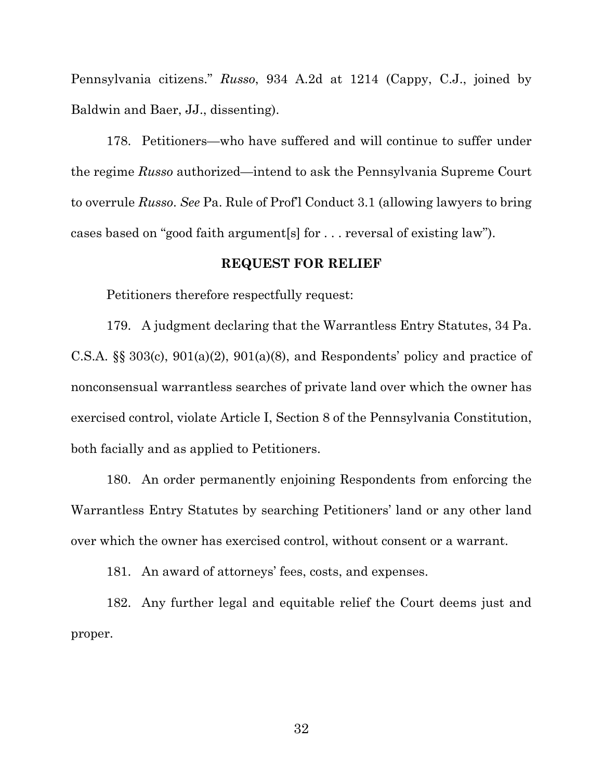Pennsylvania citizens." *Russo*, 934 A.2d at 1214 (Cappy, C.J., joined by Baldwin and Baer, JJ., dissenting).

178. Petitioners—who have suffered and will continue to suffer under the regime *Russo* authorized—intend to ask the Pennsylvania Supreme Court to overrule *Russo*. *See* Pa. Rule of Prof'l Conduct 3.1 (allowing lawyers to bring cases based on "good faith argument[s] for . . . reversal of existing law").

#### **REQUEST FOR RELIEF**

Petitioners therefore respectfully request:

179. A judgment declaring that the Warrantless Entry Statutes, 34 Pa. C.S.A.  $\S$  303(c), 901(a)(2), 901(a)(8), and Respondents' policy and practice of nonconsensual warrantless searches of private land over which the owner has exercised control, violate Article I, Section 8 of the Pennsylvania Constitution, both facially and as applied to Petitioners.

180. An order permanently enjoining Respondents from enforcing the Warrantless Entry Statutes by searching Petitioners' land or any other land over which the owner has exercised control, without consent or a warrant.

181. An award of attorneys' fees, costs, and expenses.

182. Any further legal and equitable relief the Court deems just and proper.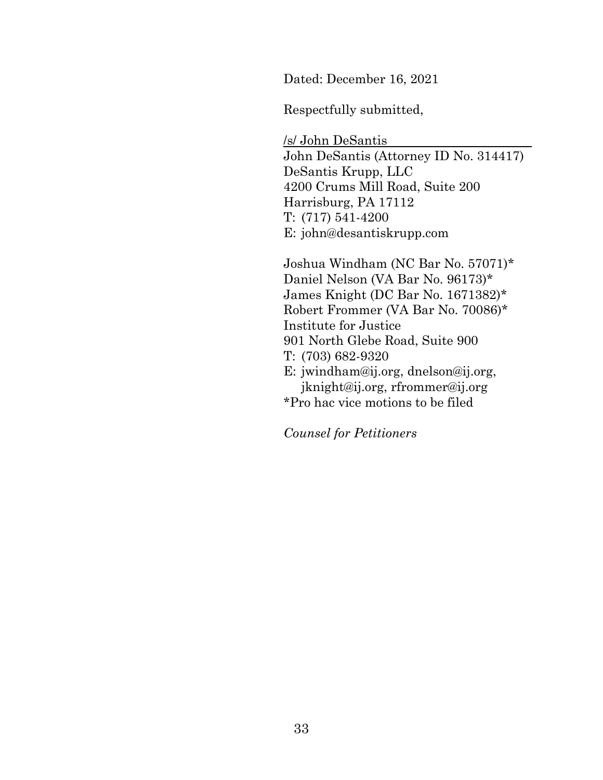Dated: December 16, 2021

Respectfully submitted,

/s/ John DeSantis John DeSantis (Attorney ID No. 314417) DeSantis Krupp, LLC 4200 Crums Mill Road, Suite 200 Harrisburg, PA 17112 T: (717) 541-4200 E: john@desantiskrupp.com

Joshua Windham (NC Bar No. 57071)\* Daniel Nelson (VA Bar No. 96173)\* James Knight (DC Bar No. 1671382)\* Robert Frommer (VA Bar No. 70086)\* Institute for Justice 901 North Glebe Road, Suite 900 T: (703) 682-9320 E: jwindham@ij.org, dnelson@ij.org, jknight@ij.org, rfrommer@ij.org \*Pro hac vice motions to be filed

*Counsel for Petitioners*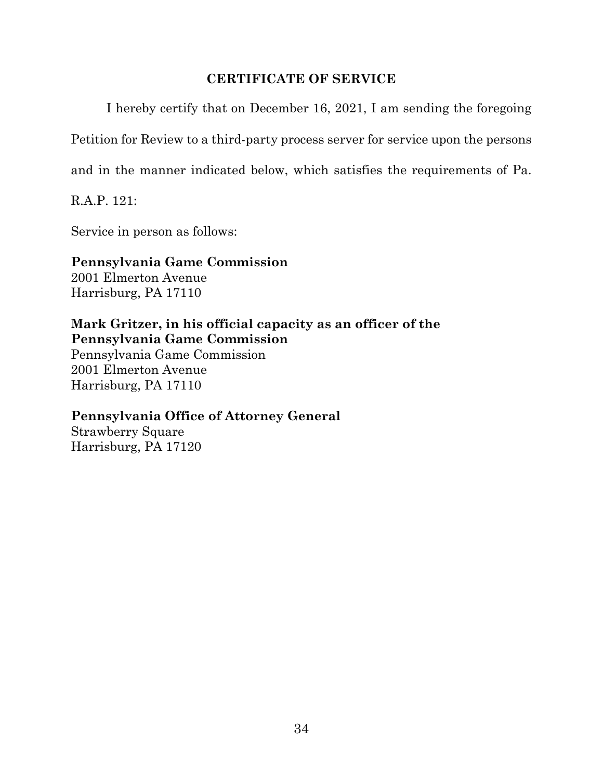### **CERTIFICATE OF SERVICE**

I hereby certify that on December 16, 2021, I am sending the foregoing

Petition for Review to a third-party process server for service upon the persons

and in the manner indicated below, which satisfies the requirements of Pa.

R.A.P. 121:

Service in person as follows:

### **Pennsylvania Game Commission**  2001 Elmerton Avenue

Harrisburg, PA 17110

**Mark Gritzer, in his official capacity as an officer of the Pennsylvania Game Commission** 

Pennsylvania Game Commission 2001 Elmerton Avenue Harrisburg, PA 17110

# **Pennsylvania Office of Attorney General**

Strawberry Square Harrisburg, PA 17120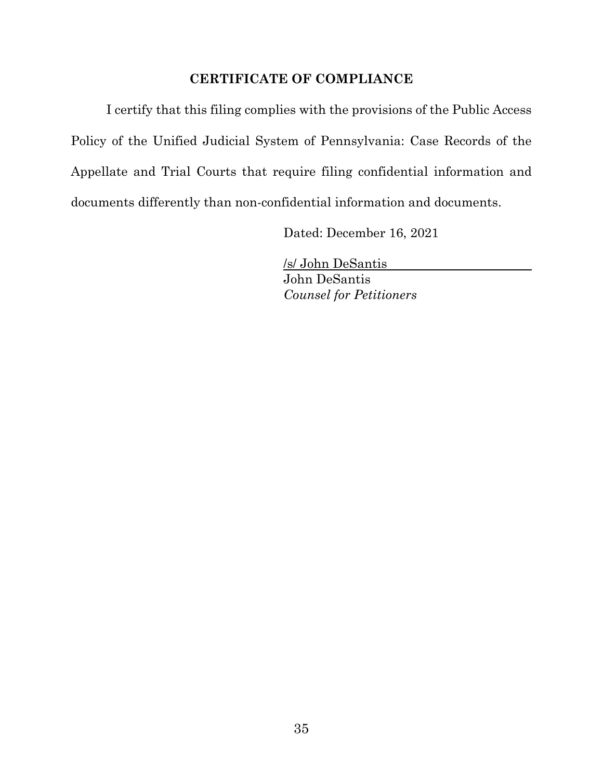### **CERTIFICATE OF COMPLIANCE**

I certify that this filing complies with the provisions of the Public Access Policy of the Unified Judicial System of Pennsylvania: Case Records of the Appellate and Trial Courts that require filing confidential information and documents differently than non-confidential information and documents.

Dated: December 16, 2021

/s/ John DeSantis John DeSantis *Counsel for Petitioners*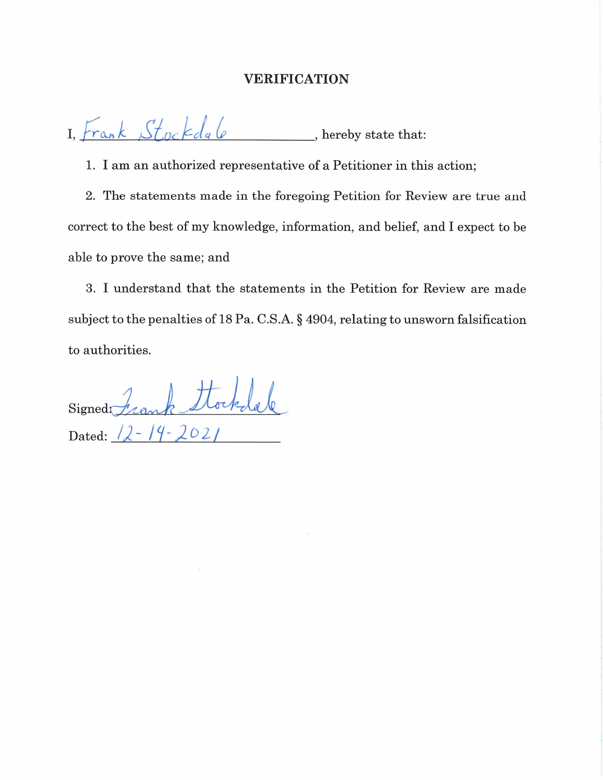### VERIFICATION

 $\sim$   $\frac{1}{2}$   $\frac{1}{2}$   $\frac{1}{2}$   $\frac{1}{2}$ I, $\frac{\text{frac}}{\text{frac}}{\text{sqrt}}$   $\frac{\text{frac}}{\text{sqrt}}$  , hereby state that:

1. I am an authorized representative of a Petitioner in this action;

2. The statements made in the foregoing Petition for Review are true and correct to the best of my knowledge, information, and belief, and I expect to be able to prove the same; and

3. I understand that the statements in the Petition for Review are made subject to the penalties of 18 Pa. C.S.A. § 4904, relating to unsworn falsification to authorities.

: /  $Signedr$  cank showed Dated:  $\sqrt{2-14} - 202$